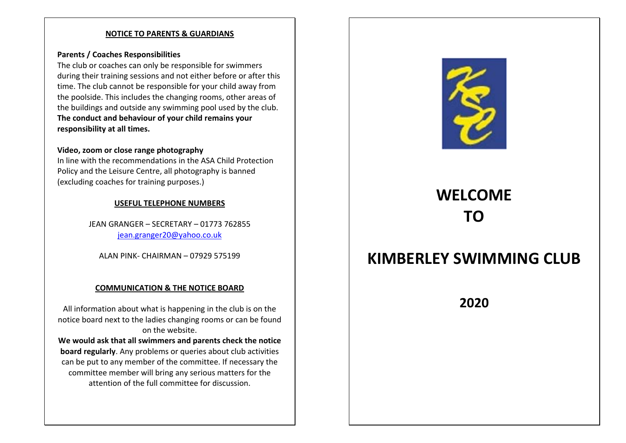## **NOTICE TO PARENTS & GUARDIANS**

## **Parents / Coaches Responsibilities**

The club or coaches can only be responsible for swimmers during their training sessions and not either before or after this time. The club cannot be responsible for your child away from the poolside. This includes the changing rooms, other areas of the buildings and outside any swimming pool used by the club. **The conduct and behaviour of your child remains your responsibility at all times.**

## **Video, zoom or close range photography**

In line with the recommendations in the ASA Child Protection Policy and the Leisure Centre, all photography is banned (excluding coaches for training purposes.)

## **USEFUL TELEPHONE NUMBERS**

JEAN GRANGER – SECRETARY – 01773 762855 jean.granger20@yahoo.co.uk

ALAN PINK‐ CHAIRMAN – 07929 575199

## **COMMUNICATION & THE NOTICE BOARD**

All information about what is happening in the club is on the notice board next to the ladies changing rooms or can be found on the website.

**We would ask that all swimmers and parents check the notice board regularly**. Any problems or queries about club activities can be put to any member of the committee. If necessary the committee member will bring any serious matters for the attention of the full committee for discussion.



# **WELCOME TO**

## **KIMBERLEY SWIMMING CLUB**

**2020**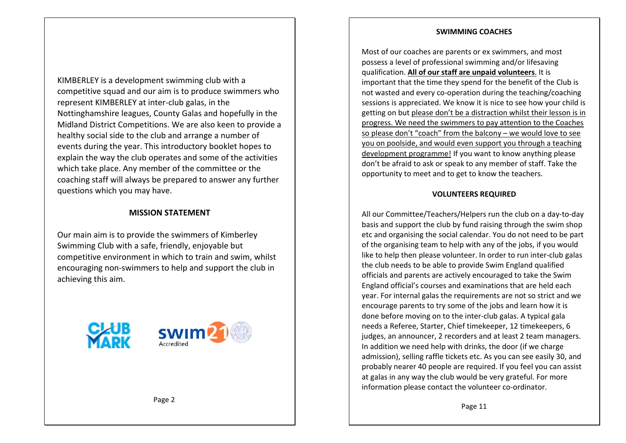#### **SWIMMING COACHES**

KIMBERLEY is a development swimming club with a competitive squad and our aim is to produce swimmers who represent KIMBERLEY at inter‐club galas, in the Nottinghamshire leagues, County Galas and hopefully in the Midland District Competitions. We are also keen to provide a healthy social side to the club and arrange a number of events during the year. This introductory booklet hopes to explain the way the club operates and some of the activities which take place. Any member of the committee or the coaching staff will always be prepared to answer any further questions which you may have.

## **MISSION STATEMENT**

Our main aim is to provide the swimmers of Kimberley Swimming Club with a safe, friendly, enjoyable but competitive environment in which to train and swim, whilst encouraging non‐swimmers to help and support the club in achieving this aim.



Most of our coaches are parents or ex swimmers, and most possess a level of professional swimming and/or lifesaving qualification. **All of our staff are unpaid volunteers**. It is important that the time they spend for the benefit of the Club is not wasted and every co‐operation during the teaching/coaching sessions is appreciated. We know it is nice to see how your child is getting on but please don't be a distraction whilst their lesson is in progress. We need the swimmers to pay attention to the Coaches so please don't "coach" from the balcony - we would love to see you on poolside, and would even support you through a teaching development programme! If you want to know anything please don't be afraid to ask or speak to any member of staff. Take the opportunity to meet and to get to know the teachers.

## **VOLUNTEERS REQUIRED**

All our Committee/Teachers/Helpers run the club on a day‐to‐day basis and support the club by fund raising through the swim shop etc and organising the social calendar. You do not need to be part of the organising team to help with any of the jobs, if you would like to help then please volunteer. In order to run inter-club galas the club needs to be able to provide Swim England qualified officials and parents are actively encouraged to take the Swim England official's courses and examinations that are held each year. For internal galas the requirements are not so strict and we encourage parents to try some of the jobs and learn how it is done before moving on to the inter‐club galas. A typical gala needs a Referee, Starter, Chief timekeeper, 12 timekeepers, 6 judges, an announcer, 2 recorders and at least 2 team managers. In addition we need help with drinks, the door (if we charge admission), selling raffle tickets etc. As you can see easily 30, and probably nearer 40 people are required. If you feel you can assist at galas in any way the club would be very grateful. For more information please contact the volunteer co-ordinator.

Page 2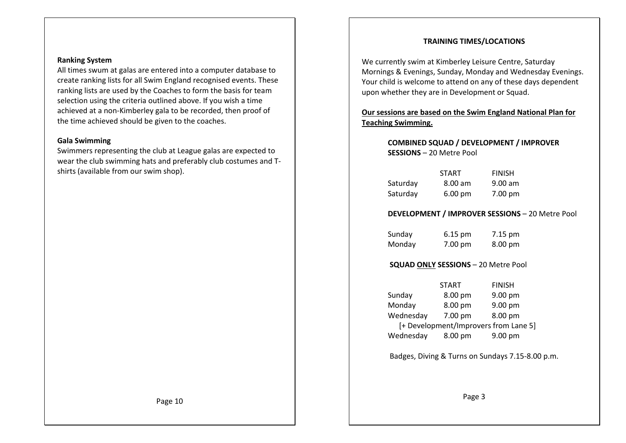## **TRAINING TIMES/LOCATIONS**

All times swum at galas are entered into a computer database to

create ranking lists for all Swim England recognised events. These ranking lists are used by the Coaches to form the basis for team selection using the criteria outlined above. If you wish a time achieved at a non‐Kimberley gala to be recorded, then proof of the time achieved should be given to the coaches.

#### **Gala Swimming**

**Ranking System**

Swimmers representing the club at League galas are expected to wear the club swimming hats and preferably club costumes and T‐ shirts (available from our swim shop).

We currently swim at Kimberley Leisure Centre, Saturday Mornings & Evenings, Sunday, Monday and Wednesday Evenings. Your child is welcome to attend on any of these days dependent upon whether they are in Development or Squad.

**Our sessions are based on the Swim England National Plan for Teaching Swimming.** 

## **COMBINED SQUAD / DEVELOPMENT / IMPROVER SESSIONS** – 20 Metre Pool

|          | <b>START</b>      | <b>FINISH</b> |
|----------|-------------------|---------------|
| Saturday | $8.00 \text{ am}$ | $9.00$ am     |
| Saturday | $6.00 \text{ pm}$ | 7.00 pm       |

## **DEVELOPMENT / IMPROVER SESSIONS** – 20 Metre Pool

Sunday 6.15 pm 7.15 pm Monday 7.00 pm 8.00 pm

## **SQUAD ONLY SESSIONS** – 20 Metre Pool

START FINISH Sunday 8.00 pm 9.00 pm Monday 8.00 pm 9.00 pm Wednesday 7.00 pm 8.00 pm [+ Development/Improvers from Lane 5] Wednesday 8.00 pm 9.00 pm

Badges, Diving & Turns on Sundays 7.15‐8.00 p.m.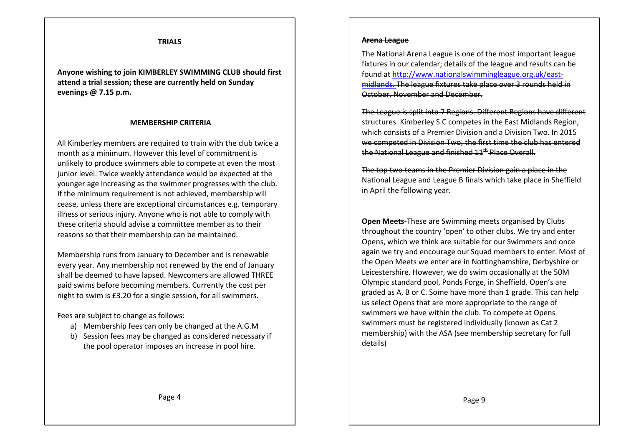#### **TRIALS**

**Anyone wishing to join KIMBERLEY SWIMMING CLUB should first attend a trial session; these are currently held on Sunday evenings @ 7.15 p.m.** 

#### **MEMBERSHIP CRITERIA**

All Kimberley members are required to train with the club twice a month as a minimum. However this level of commitment is unlikely to produce swimmers able to compete at even the most junior level. Twice weekly attendance would be expected at the younger age increasing as the swimmer progresses with the club. If the minimum requirement is not achieved, membership will cease, unless there are exceptional circumstances e.g. temporary illness or serious injury. Anyone who is not able to comply with these criteria should advise a committee member as to their reasons so that their membership can be maintained.

Membership runs from January to December and is renewable every year. Any membership not renewed by the end of January shall be deemed to have lapsed. Newcomers are allowed THREE paid swims before becoming members. Currently the cost per night to swim is £3.20 for a single session, for all swimmers.

Fees are subject to change as follows:

- a) Membership fees can only be changed at the A.G.M
- b) Session fees may be changed as considered necessary if the pool operator imposes an increase in pool hire.

#### **Arena League**

The National Arena League is one of the most important fixtures in our calendar; details of the league and result found at http://www.nationalswimmingleague.org.uk/east‐ midlands. The league fixtures take place over 3 rounds held in October, November and December.

The League is split into 7 Regions. Different Regions have different structures. Kimberley S.C competes in the East Midlands Region, which consists of a Premier Division and a Division Two. In 2015 we competed in Division Two, the first time the club has entered the National League and finished 11<sup>th</sup> Place Overall.

The top two teams in the Premier Division gain National League and League B finals which take place in Sheffield in April the following year.

**Open Meets‐**These are Swimming meets organised by Clubs throughout the country 'open' to other clubs. We try and enter Opens, which we think are suitable for our Swimmers and once again we try and encourage our Squad members to enter. Most of the Open Meets we enter are in Nottinghamshire, Derbyshire or Leicestershire. However, we do swim occasionally at the 50M Olympic standard pool, Ponds Forge, in Sheffield. Open's are graded as A, B or C. Some have more than 1 grade. This can help us select Opens that are more appropriate to the range of swimmers we have within the club. To compete at Opens swimmers must be registered individually (known as Cat 2 membership) with the ASA (see membership secretary for full details)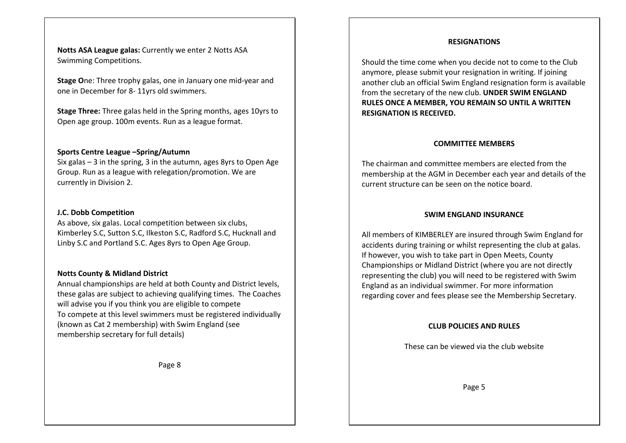**Notts ASA League galas:** Currently we enter 2 Notts ASA Swimming Competitions.

**Stage O**ne: Three trophy galas, one in January one mid‐year and one in December for 8‐ 11yrs old swimmers.

**Stage Three:** Three galas held in the Spring months, ages 10yrs to Open age group. 100m events. Run as a league format.

### **Sports Centre League –Spring/Autumn**

Six galas – 3 in the spring, 3 in the autumn, ages 8yrs to Open Age Group. Run as a league with relegation/promotion. We are currently in Division 2.

#### **J.C. Dobb Competition**

As above, six galas. Local competition between six clubs, Kimberley S.C, Sutton S.C, Ilkeston S.C, Radford S.C, Hucknall and Linby S.C and Portland S.C. Ages 8yrs to Open Age Group.

#### **Notts County & Midland District**

Annual championships are held at both County and District levels, these galas are subject to achieving qualifying times. The Coaches will advise you if you think you are eligible to compete To compete at this level swimmers must be registered individually (known as Cat 2 membership) with Swim England (see membership secretary for full details)

Page 8

#### **RESIGNATIONS**

Should the time come when you decide not to come to the Club anymore, please submit your resignation in writing. If joining another club an official Swim England resignation form is available from the secretary of the new club. **UNDER SWIM ENGLAND RULES ONCE A MEMBER, YOU REMAIN SO UNTIL A WRITTEN RESIGNATION IS RECEIVED.** 

#### **COMMITTEE MEMBERS**

The chairman and committee members are elected from the membership at the AGM in December each year and details of the current structure can be seen on the notice board.

#### **SWIM ENGLAND INSURANCE**

All members of KIMBERLEY are insured through Swim England for accidents during training or whilst representing the club at galas. If however, you wish to take part in Open Meets, County Championships or Midland District (where you are not directly representing the club) you will need to be registered with Swim England as an individual swimmer. For more information regarding cover and fees please see the Membership Secretary.

#### **CLUB POLICIES AND RULES**

These can be viewed via the club website

Page 5